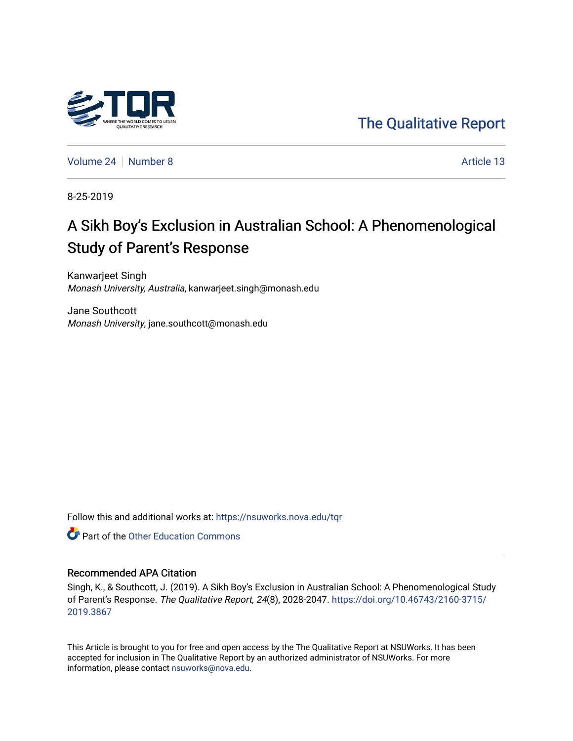

[The Qualitative Report](https://nsuworks.nova.edu/tqr) 

[Volume 24](https://nsuworks.nova.edu/tqr/vol24) [Number 8](https://nsuworks.nova.edu/tqr/vol24/iss8) Article 13

8-25-2019

# A Sikh Boy's Exclusion in Australian School: A Phenomenological Study of Parent's Response

Kanwarjeet Singh Monash University, Australia, kanwarjeet.singh@monash.edu

Jane Southcott Monash University, jane.southcott@monash.edu

Follow this and additional works at: [https://nsuworks.nova.edu/tqr](https://nsuworks.nova.edu/tqr?utm_source=nsuworks.nova.edu%2Ftqr%2Fvol24%2Fiss8%2F13&utm_medium=PDF&utm_campaign=PDFCoverPages) 

**C** Part of the Other Education Commons

#### Recommended APA Citation

Singh, K., & Southcott, J. (2019). A Sikh Boy's Exclusion in Australian School: A Phenomenological Study of Parent's Response. The Qualitative Report, 24(8), 2028-2047. [https://doi.org/10.46743/2160-3715/](https://doi.org/10.46743/2160-3715/2019.3867) [2019.3867](https://doi.org/10.46743/2160-3715/2019.3867) 

This Article is brought to you for free and open access by the The Qualitative Report at NSUWorks. It has been accepted for inclusion in The Qualitative Report by an authorized administrator of NSUWorks. For more information, please contact [nsuworks@nova.edu.](mailto:nsuworks@nova.edu)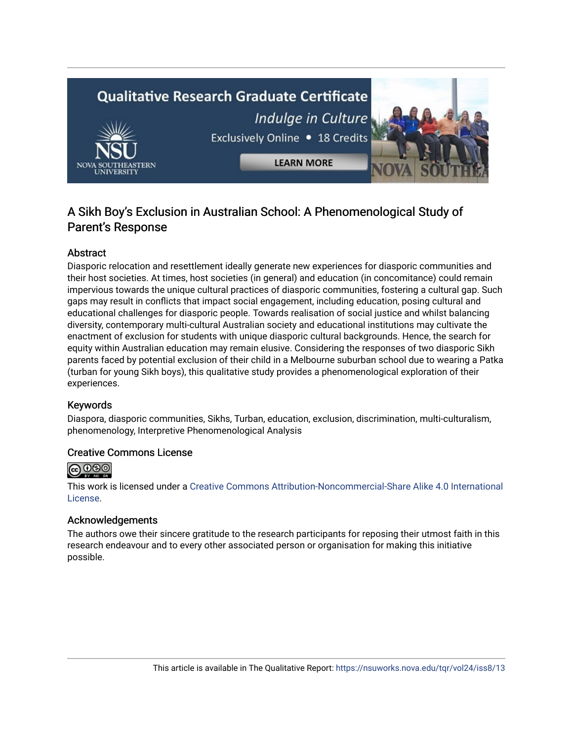

## A Sikh Boy's Exclusion in Australian School: A Phenomenological Study of Parent's Response

## Abstract

Diasporic relocation and resettlement ideally generate new experiences for diasporic communities and their host societies. At times, host societies (in general) and education (in concomitance) could remain impervious towards the unique cultural practices of diasporic communities, fostering a cultural gap. Such gaps may result in conflicts that impact social engagement, including education, posing cultural and educational challenges for diasporic people. Towards realisation of social justice and whilst balancing diversity, contemporary multi-cultural Australian society and educational institutions may cultivate the enactment of exclusion for students with unique diasporic cultural backgrounds. Hence, the search for equity within Australian education may remain elusive. Considering the responses of two diasporic Sikh parents faced by potential exclusion of their child in a Melbourne suburban school due to wearing a Patka (turban for young Sikh boys), this qualitative study provides a phenomenological exploration of their experiences.

## Keywords

Diaspora, diasporic communities, Sikhs, Turban, education, exclusion, discrimination, multi-culturalism, phenomenology, Interpretive Phenomenological Analysis

## Creative Commons License



This work is licensed under a [Creative Commons Attribution-Noncommercial-Share Alike 4.0 International](https://creativecommons.org/licenses/by-nc-sa/4.0/)  [License](https://creativecommons.org/licenses/by-nc-sa/4.0/).

#### Acknowledgements

The authors owe their sincere gratitude to the research participants for reposing their utmost faith in this research endeavour and to every other associated person or organisation for making this initiative possible.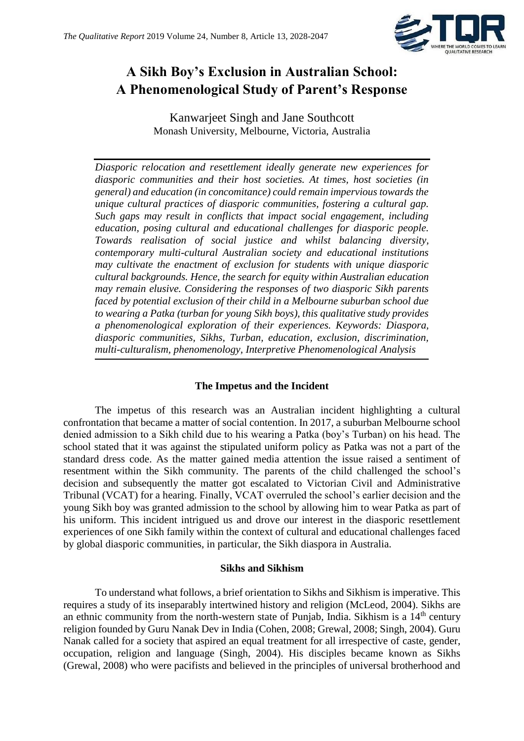

## **A Sikh Boy's Exclusion in Australian School: A Phenomenological Study of Parent's Response**

Kanwarjeet Singh and Jane Southcott Monash University, Melbourne, Victoria, Australia

*Diasporic relocation and resettlement ideally generate new experiences for diasporic communities and their host societies. At times, host societies (in general) and education (in concomitance) could remain impervious towards the unique cultural practices of diasporic communities, fostering a cultural gap. Such gaps may result in conflicts that impact social engagement, including education, posing cultural and educational challenges for diasporic people. Towards realisation of social justice and whilst balancing diversity, contemporary multi-cultural Australian society and educational institutions may cultivate the enactment of exclusion for students with unique diasporic cultural backgrounds. Hence, the search for equity within Australian education may remain elusive. Considering the responses of two diasporic Sikh parents faced by potential exclusion of their child in a Melbourne suburban school due to wearing a Patka (turban for young Sikh boys), this qualitative study provides a phenomenological exploration of their experiences. Keywords: Diaspora, diasporic communities, Sikhs, Turban, education, exclusion, discrimination, multi-culturalism, phenomenology, Interpretive Phenomenological Analysis*

## **The Impetus and the Incident**

The impetus of this research was an Australian incident highlighting a cultural confrontation that became a matter of social contention. In 2017, a suburban Melbourne school denied admission to a Sikh child due to his wearing a Patka (boy's Turban) on his head. The school stated that it was against the stipulated uniform policy as Patka was not a part of the standard dress code. As the matter gained media attention the issue raised a sentiment of resentment within the Sikh community. The parents of the child challenged the school's decision and subsequently the matter got escalated to Victorian Civil and Administrative Tribunal (VCAT) for a hearing. Finally, VCAT overruled the school's earlier decision and the young Sikh boy was granted admission to the school by allowing him to wear Patka as part of his uniform. This incident intrigued us and drove our interest in the diasporic resettlement experiences of one Sikh family within the context of cultural and educational challenges faced by global diasporic communities, in particular, the Sikh diaspora in Australia.

## **Sikhs and Sikhism**

To understand what follows, a brief orientation to Sikhs and Sikhism is imperative. This requires a study of its inseparably intertwined history and religion (McLeod, 2004). Sikhs are an ethnic community from the north-western state of Punjab, India. Sikhism is a  $14<sup>th</sup>$  century religion founded by Guru Nanak Dev in India (Cohen, 2008; Grewal, 2008; Singh, 2004). Guru Nanak called for a society that aspired an equal treatment for all irrespective of caste, gender, occupation, religion and language (Singh, 2004). His disciples became known as Sikhs (Grewal, 2008) who were pacifists and believed in the principles of universal brotherhood and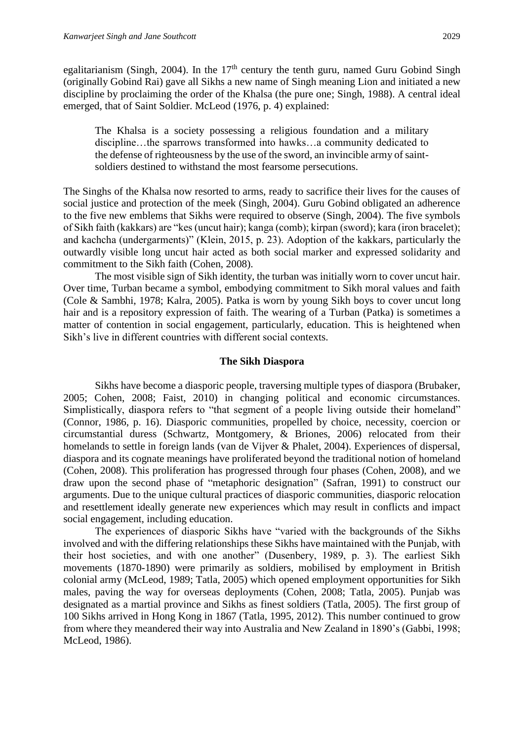egalitarianism (Singh, 2004). In the  $17<sup>th</sup>$  century the tenth guru, named Guru Gobind Singh (originally Gobind Rai) gave all Sikhs a new name of Singh meaning Lion and initiated a new discipline by proclaiming the order of the Khalsa (the pure one; Singh, 1988). A central ideal emerged, that of Saint Soldier. McLeod (1976, p. 4) explained:

The Khalsa is a society possessing a religious foundation and a military discipline…the sparrows transformed into hawks…a community dedicated to the defense of righteousness by the use of the sword, an invincible army of saintsoldiers destined to withstand the most fearsome persecutions.

The Singhs of the Khalsa now resorted to arms, ready to sacrifice their lives for the causes of social justice and protection of the meek (Singh, 2004). Guru Gobind obligated an adherence to the five new emblems that Sikhs were required to observe (Singh, 2004). The five symbols of Sikh faith (kakkars) are "kes (uncut hair); kanga (comb); kirpan (sword); kara (iron bracelet); and kachcha (undergarments)" (Klein, 2015, p. 23). Adoption of the kakkars, particularly the outwardly visible long uncut hair acted as both social marker and expressed solidarity and commitment to the Sikh faith (Cohen, 2008).

The most visible sign of Sikh identity, the turban was initially worn to cover uncut hair. Over time, Turban became a symbol, embodying commitment to Sikh moral values and faith (Cole & Sambhi, 1978; Kalra, 2005). Patka is worn by young Sikh boys to cover uncut long hair and is a repository expression of faith. The wearing of a Turban (Patka) is sometimes a matter of contention in social engagement, particularly, education. This is heightened when Sikh's live in different countries with different social contexts.

#### **The Sikh Diaspora**

Sikhs have become a diasporic people, traversing multiple types of diaspora (Brubaker, 2005; Cohen, 2008; Faist, 2010) in changing political and economic circumstances. Simplistically, diaspora refers to "that segment of a people living outside their homeland" (Connor, 1986, p. 16). Diasporic communities, propelled by choice, necessity, coercion or circumstantial duress (Schwartz, Montgomery, & Briones, 2006) relocated from their homelands to settle in foreign lands (van de Vijver & Phalet, 2004). Experiences of dispersal, diaspora and its cognate meanings have proliferated beyond the traditional notion of homeland (Cohen, 2008). This proliferation has progressed through four phases (Cohen, 2008), and we draw upon the second phase of "metaphoric designation" (Safran, 1991) to construct our arguments. Due to the unique cultural practices of diasporic communities, diasporic relocation and resettlement ideally generate new experiences which may result in conflicts and impact social engagement, including education.

The experiences of diasporic Sikhs have "varied with the backgrounds of the Sikhs involved and with the differing relationships these Sikhs have maintained with the Punjab, with their host societies, and with one another" (Dusenbery, 1989, p. 3). The earliest Sikh movements (1870-1890) were primarily as soldiers, mobilised by employment in British colonial army (McLeod, 1989; Tatla, 2005) which opened employment opportunities for Sikh males, paving the way for overseas deployments (Cohen, 2008; Tatla, 2005). Punjab was designated as a martial province and Sikhs as finest soldiers (Tatla, 2005). The first group of 100 Sikhs arrived in Hong Kong in 1867 (Tatla, 1995, 2012). This number continued to grow from where they meandered their way into Australia and New Zealand in 1890's (Gabbi, 1998; McLeod, 1986).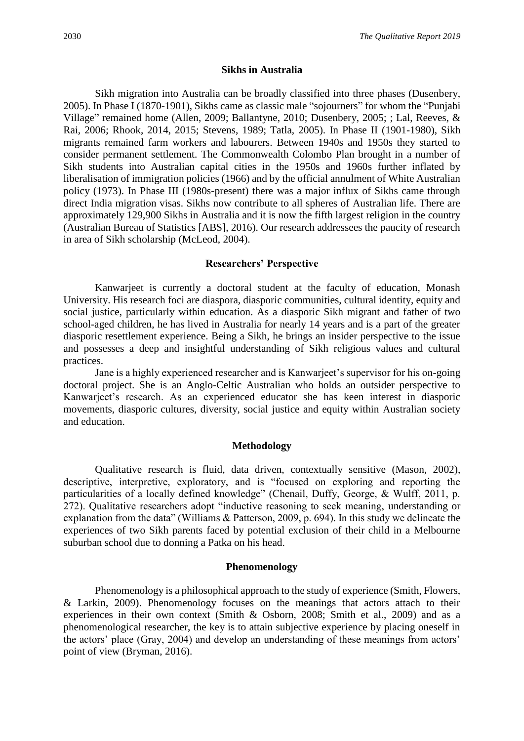#### **Sikhs in Australia**

Sikh migration into Australia can be broadly classified into three phases (Dusenbery, 2005). In Phase I (1870-1901), Sikhs came as classic male "sojourners" for whom the "Punjabi Village" remained home (Allen, 2009; Ballantyne, 2010; Dusenbery, 2005; ; Lal, Reeves, & Rai, 2006; Rhook, 2014, 2015; Stevens, 1989; Tatla, 2005). In Phase II (1901-1980), Sikh migrants remained farm workers and labourers. Between 1940s and 1950s they started to consider permanent settlement. The Commonwealth Colombo Plan brought in a number of Sikh students into Australian capital cities in the 1950s and 1960s further inflated by liberalisation of immigration policies (1966) and by the official annulment of White Australian policy (1973). In Phase III (1980s-present) there was a major influx of Sikhs came through direct India migration visas. Sikhs now contribute to all spheres of Australian life. There are approximately 129,900 Sikhs in Australia and it is now the fifth largest religion in the country (Australian Bureau of Statistics [ABS], 2016). Our research addressees the paucity of research in area of Sikh scholarship (McLeod, 2004).

#### **Researchers' Perspective**

Kanwarjeet is currently a doctoral student at the faculty of education, Monash University. His research foci are diaspora, diasporic communities, cultural identity, equity and social justice, particularly within education. As a diasporic Sikh migrant and father of two school-aged children, he has lived in Australia for nearly 14 years and is a part of the greater diasporic resettlement experience. Being a Sikh, he brings an insider perspective to the issue and possesses a deep and insightful understanding of Sikh religious values and cultural practices.

Jane is a highly experienced researcher and is Kanwarjeet's supervisor for his on-going doctoral project. She is an Anglo-Celtic Australian who holds an outsider perspective to Kanwarjeet's research. As an experienced educator she has keen interest in diasporic movements, diasporic cultures, diversity, social justice and equity within Australian society and education.

#### **Methodology**

Qualitative research is fluid, data driven, contextually sensitive (Mason, 2002), descriptive, interpretive, exploratory, and is "focused on exploring and reporting the particularities of a locally defined knowledge" (Chenail, Duffy, George, & Wulff, 2011, p. 272). Qualitative researchers adopt "inductive reasoning to seek meaning, understanding or explanation from the data" (Williams & Patterson, 2009, p. 694). In this study we delineate the experiences of two Sikh parents faced by potential exclusion of their child in a Melbourne suburban school due to donning a Patka on his head.

#### **Phenomenology**

Phenomenology is a philosophical approach to the study of experience (Smith, Flowers, & Larkin, 2009). Phenomenology focuses on the meanings that actors attach to their experiences in their own context (Smith & Osborn, 2008; Smith et al., 2009) and as a phenomenological researcher, the key is to attain subjective experience by placing oneself in the actors' place (Gray, 2004) and develop an understanding of these meanings from actors' point of view (Bryman, 2016).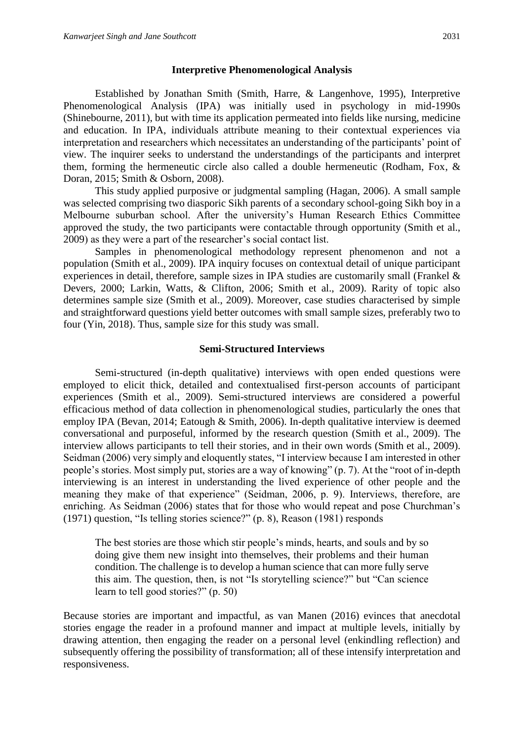#### **Interpretive Phenomenological Analysis**

Established by Jonathan Smith (Smith, Harre, & Langenhove, 1995), Interpretive Phenomenological Analysis (IPA) was initially used in psychology in mid-1990s (Shinebourne, 2011), but with time its application permeated into fields like nursing, medicine and education. In IPA, individuals attribute meaning to their contextual experiences via interpretation and researchers which necessitates an understanding of the participants' point of view. The inquirer seeks to understand the understandings of the participants and interpret them, forming the hermeneutic circle also called a double hermeneutic (Rodham, Fox, & Doran, 2015; Smith & Osborn, 2008).

This study applied purposive or judgmental sampling (Hagan, 2006). A small sample was selected comprising two diasporic Sikh parents of a secondary school-going Sikh boy in a Melbourne suburban school. After the university's Human Research Ethics Committee approved the study, the two participants were contactable through opportunity (Smith et al., 2009) as they were a part of the researcher's social contact list.

Samples in phenomenological methodology represent phenomenon and not a population (Smith et al., 2009). IPA inquiry focuses on contextual detail of unique participant experiences in detail, therefore, sample sizes in IPA studies are customarily small (Frankel & Devers, 2000; Larkin, Watts, & Clifton, 2006; Smith et al., 2009). Rarity of topic also determines sample size (Smith et al., 2009). Moreover, case studies characterised by simple and straightforward questions yield better outcomes with small sample sizes, preferably two to four (Yin, 2018). Thus, sample size for this study was small.

#### **Semi-Structured Interviews**

Semi-structured (in-depth qualitative) interviews with open ended questions were employed to elicit thick, detailed and contextualised first-person accounts of participant experiences (Smith et al., 2009). Semi-structured interviews are considered a powerful efficacious method of data collection in phenomenological studies, particularly the ones that employ IPA (Bevan, 2014; Eatough & Smith, 2006). In-depth qualitative interview is deemed conversational and purposeful, informed by the research question (Smith et al., 2009). The interview allows participants to tell their stories, and in their own words (Smith et al., 2009). Seidman (2006) very simply and eloquently states, "I interview because I am interested in other people's stories. Most simply put, stories are a way of knowing" (p. 7). At the "root of in-depth interviewing is an interest in understanding the lived experience of other people and the meaning they make of that experience" (Seidman, 2006, p. 9). Interviews, therefore, are enriching. As Seidman (2006) states that for those who would repeat and pose Churchman's (1971) question, "Is telling stories science?" (p. 8), Reason (1981) responds

The best stories are those which stir people's minds, hearts, and souls and by so doing give them new insight into themselves, their problems and their human condition. The challenge is to develop a human science that can more fully serve this aim. The question, then, is not "Is storytelling science?" but "Can science learn to tell good stories?" (p. 50)

Because stories are important and impactful, as van Manen (2016) evinces that anecdotal stories engage the reader in a profound manner and impact at multiple levels, initially by drawing attention, then engaging the reader on a personal level (enkindling reflection) and subsequently offering the possibility of transformation; all of these intensify interpretation and responsiveness.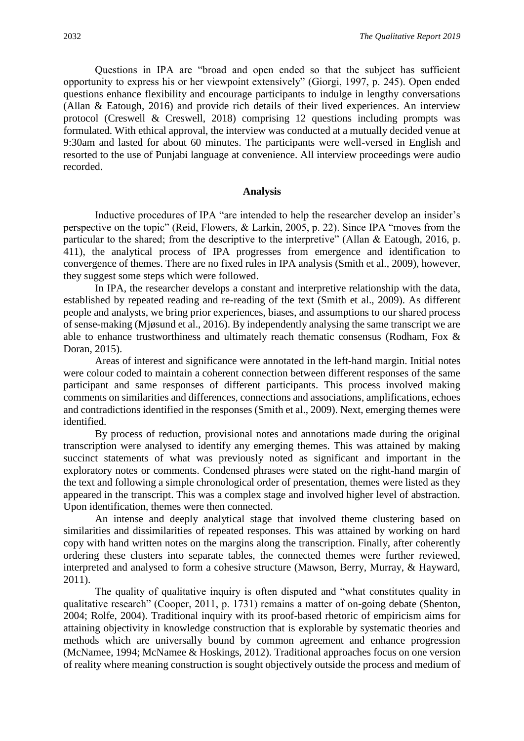Questions in IPA are "broad and open ended so that the subject has sufficient opportunity to express his or her viewpoint extensively" (Giorgi, 1997, p. 245). Open ended questions enhance flexibility and encourage participants to indulge in lengthy conversations (Allan & Eatough, 2016) and provide rich details of their lived experiences. An interview protocol (Creswell & Creswell, 2018) comprising 12 questions including prompts was formulated. With ethical approval, the interview was conducted at a mutually decided venue at 9:30am and lasted for about 60 minutes. The participants were well-versed in English and resorted to the use of Punjabi language at convenience. All interview proceedings were audio recorded.

#### **Analysis**

Inductive procedures of IPA "are intended to help the researcher develop an insider's perspective on the topic" (Reid, Flowers, & Larkin, 2005, p. 22). Since IPA "moves from the particular to the shared; from the descriptive to the interpretive" (Allan & Eatough, 2016, p. 411), the analytical process of IPA progresses from emergence and identification to convergence of themes. There are no fixed rules in IPA analysis (Smith et al., 2009), however, they suggest some steps which were followed.

In IPA, the researcher develops a constant and interpretive relationship with the data, established by repeated reading and re-reading of the text (Smith et al., 2009). As different people and analysts, we bring prior experiences, biases, and assumptions to our shared process of sense-making (Mjøsund et al., 2016). By independently analysing the same transcript we are able to enhance trustworthiness and ultimately reach thematic consensus (Rodham, Fox & Doran, 2015).

Areas of interest and significance were annotated in the left-hand margin. Initial notes were colour coded to maintain a coherent connection between different responses of the same participant and same responses of different participants. This process involved making comments on similarities and differences, connections and associations, amplifications, echoes and contradictions identified in the responses (Smith et al., 2009). Next, emerging themes were identified.

By process of reduction, provisional notes and annotations made during the original transcription were analysed to identify any emerging themes. This was attained by making succinct statements of what was previously noted as significant and important in the exploratory notes or comments. Condensed phrases were stated on the right-hand margin of the text and following a simple chronological order of presentation, themes were listed as they appeared in the transcript. This was a complex stage and involved higher level of abstraction. Upon identification, themes were then connected.

An intense and deeply analytical stage that involved theme clustering based on similarities and dissimilarities of repeated responses. This was attained by working on hard copy with hand written notes on the margins along the transcription. Finally, after coherently ordering these clusters into separate tables, the connected themes were further reviewed, interpreted and analysed to form a cohesive structure (Mawson, Berry, Murray, & Hayward, 2011).

The quality of qualitative inquiry is often disputed and "what constitutes quality in qualitative research" (Cooper, 2011, p. 1731) remains a matter of on-going debate (Shenton, 2004; Rolfe, 2004). Traditional inquiry with its proof-based rhetoric of empiricism aims for attaining objectivity in knowledge construction that is explorable by systematic theories and methods which are universally bound by common agreement and enhance progression (McNamee, 1994; McNamee & Hoskings, 2012). Traditional approaches focus on one version of reality where meaning construction is sought objectively outside the process and medium of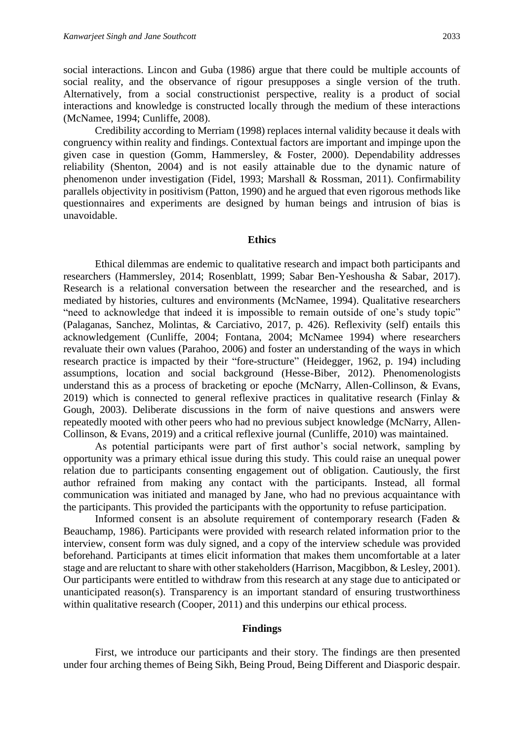social interactions. Lincon and Guba (1986) argue that there could be multiple accounts of social reality, and the observance of rigour presupposes a single version of the truth. Alternatively, from a social constructionist perspective, reality is a product of social interactions and knowledge is constructed locally through the medium of these interactions (McNamee, 1994; Cunliffe, 2008).

Credibility according to Merriam (1998) replaces internal validity because it deals with congruency within reality and findings. Contextual factors are important and impinge upon the given case in question (Gomm, Hammersley, & Foster, 2000). Dependability addresses reliability (Shenton, 2004) and is not easily attainable due to the dynamic nature of phenomenon under investigation (Fidel, 1993; Marshall & Rossman, 2011). Confirmability parallels objectivity in positivism (Patton, 1990) and he argued that even rigorous methods like questionnaires and experiments are designed by human beings and intrusion of bias is unavoidable.

#### **Ethics**

Ethical dilemmas are endemic to qualitative research and impact both participants and researchers (Hammersley, 2014; Rosenblatt, 1999; Sabar Ben-Yeshousha & Sabar, 2017). Research is a relational conversation between the researcher and the researched, and is mediated by histories, cultures and environments (McNamee, 1994). Qualitative researchers "need to acknowledge that indeed it is impossible to remain outside of one's study topic" (Palaganas, Sanchez, Molintas, & Carciativo, 2017, p. 426). Reflexivity (self) entails this acknowledgement (Cunliffe, 2004; Fontana, 2004; McNamee 1994) where researchers revaluate their own values (Parahoo, 2006) and foster an understanding of the ways in which research practice is impacted by their "fore-structure" (Heidegger, 1962, p. 194) including assumptions, location and social background (Hesse-Biber, 2012). Phenomenologists understand this as a process of bracketing or epoche (McNarry, Allen-Collinson, & Evans, 2019) which is connected to general reflexive practices in qualitative research (Finlay & Gough, 2003). Deliberate discussions in the form of naive questions and answers were repeatedly mooted with other peers who had no previous subject knowledge (McNarry, Allen-Collinson, & Evans, 2019) and a critical reflexive journal (Cunliffe, 2010) was maintained.

As potential participants were part of first author's social network, sampling by opportunity was a primary ethical issue during this study. This could raise an unequal power relation due to participants consenting engagement out of obligation. Cautiously, the first author refrained from making any contact with the participants. Instead, all formal communication was initiated and managed by Jane, who had no previous acquaintance with the participants. This provided the participants with the opportunity to refuse participation.

Informed consent is an absolute requirement of contemporary research (Faden & Beauchamp, 1986). Participants were provided with research related information prior to the interview, consent form was duly signed, and a copy of the interview schedule was provided beforehand. Participants at times elicit information that makes them uncomfortable at a later stage and are reluctant to share with other stakeholders (Harrison, Macgibbon, & Lesley, 2001). Our participants were entitled to withdraw from this research at any stage due to anticipated or unanticipated reason(s). Transparency is an important standard of ensuring trustworthiness within qualitative research (Cooper, 2011) and this underpins our ethical process.

#### **Findings**

First, we introduce our participants and their story. The findings are then presented under four arching themes of Being Sikh, Being Proud, Being Different and Diasporic despair.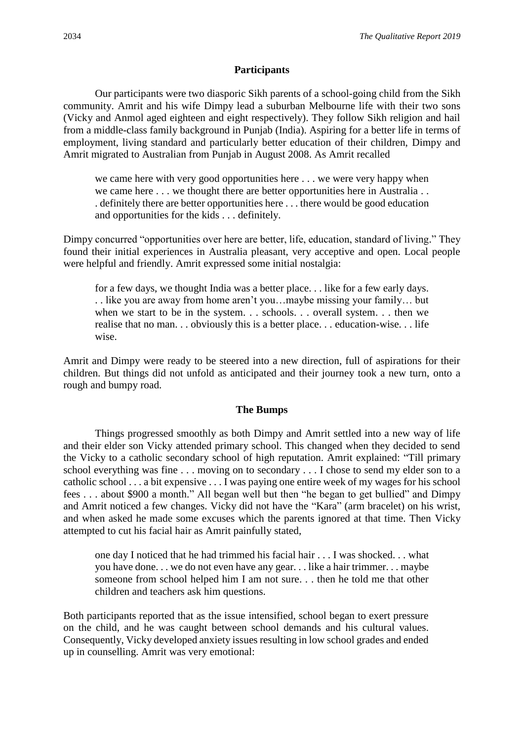## **Participants**

Our participants were two diasporic Sikh parents of a school-going child from the Sikh community. Amrit and his wife Dimpy lead a suburban Melbourne life with their two sons (Vicky and Anmol aged eighteen and eight respectively). They follow Sikh religion and hail from a middle-class family background in Punjab (India). Aspiring for a better life in terms of employment, living standard and particularly better education of their children, Dimpy and Amrit migrated to Australian from Punjab in August 2008. As Amrit recalled

we came here with very good opportunities here . . . we were very happy when we came here . . . we thought there are better opportunities here in Australia . . . definitely there are better opportunities here . . . there would be good education and opportunities for the kids . . . definitely.

Dimpy concurred "opportunities over here are better, life, education, standard of living." They found their initial experiences in Australia pleasant, very acceptive and open. Local people were helpful and friendly. Amrit expressed some initial nostalgia:

for a few days, we thought India was a better place. . . like for a few early days. . . like you are away from home aren't you…maybe missing your family… but when we start to be in the system. . . schools. . . overall system. . . then we realise that no man. . . obviously this is a better place. . . education-wise. . . life wise.

Amrit and Dimpy were ready to be steered into a new direction, full of aspirations for their children. But things did not unfold as anticipated and their journey took a new turn, onto a rough and bumpy road.

#### **The Bumps**

Things progressed smoothly as both Dimpy and Amrit settled into a new way of life and their elder son Vicky attended primary school. This changed when they decided to send the Vicky to a catholic secondary school of high reputation. Amrit explained: "Till primary school everything was fine . . . moving on to secondary . . . I chose to send my elder son to a catholic school . . . a bit expensive . . . I was paying one entire week of my wages for his school fees . . . about \$900 a month." All began well but then "he began to get bullied" and Dimpy and Amrit noticed a few changes. Vicky did not have the "Kara" (arm bracelet) on his wrist, and when asked he made some excuses which the parents ignored at that time. Then Vicky attempted to cut his facial hair as Amrit painfully stated,

one day I noticed that he had trimmed his facial hair . . . I was shocked. . . what you have done. . . we do not even have any gear. . . like a hair trimmer. . . maybe someone from school helped him I am not sure. . . then he told me that other children and teachers ask him questions.

Both participants reported that as the issue intensified, school began to exert pressure on the child, and he was caught between school demands and his cultural values. Consequently, Vicky developed anxiety issues resulting in low school grades and ended up in counselling. Amrit was very emotional: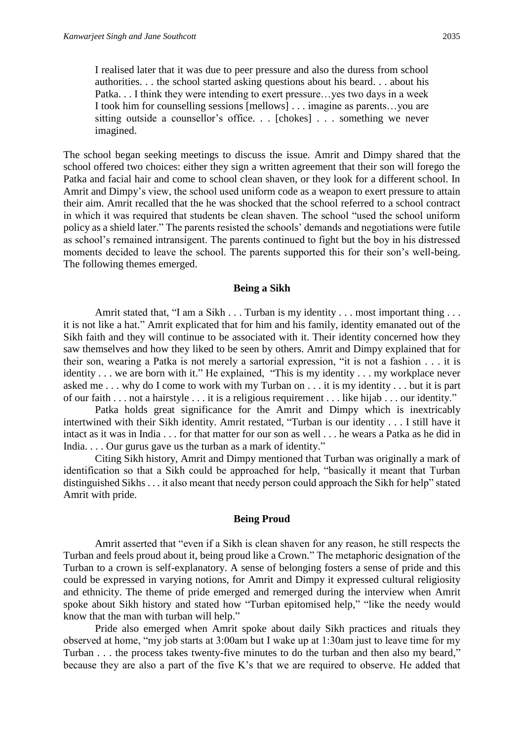I realised later that it was due to peer pressure and also the duress from school authorities. . . the school started asking questions about his beard. . . about his Patka. . . I think they were intending to exert pressure…yes two days in a week I took him for counselling sessions [mellows] . . . imagine as parents…you are sitting outside a counsellor's office. . . [chokes] . . . something we never imagined.

The school began seeking meetings to discuss the issue. Amrit and Dimpy shared that the school offered two choices: either they sign a written agreement that their son will forego the Patka and facial hair and come to school clean shaven, or they look for a different school. In Amrit and Dimpy's view, the school used uniform code as a weapon to exert pressure to attain their aim. Amrit recalled that the he was shocked that the school referred to a school contract in which it was required that students be clean shaven. The school "used the school uniform policy as a shield later." The parents resisted the schools' demands and negotiations were futile as school's remained intransigent. The parents continued to fight but the boy in his distressed moments decided to leave the school. The parents supported this for their son's well-being. The following themes emerged.

#### **Being a Sikh**

Amrit stated that, "I am a Sikh . . . Turban is my identity . . . most important thing . . . it is not like a hat." Amrit explicated that for him and his family, identity emanated out of the Sikh faith and they will continue to be associated with it. Their identity concerned how they saw themselves and how they liked to be seen by others. Amrit and Dimpy explained that for their son, wearing a Patka is not merely a sartorial expression, "it is not a fashion . . . it is identity . . . we are born with it." He explained, "This is my identity . . . my workplace never asked me . . . why do I come to work with my Turban on . . . it is my identity . . . but it is part of our faith . . . not a hairstyle . . . it is a religious requirement . . . like hijab . . . our identity."

Patka holds great significance for the Amrit and Dimpy which is inextricably intertwined with their Sikh identity. Amrit restated, "Turban is our identity . . . I still have it intact as it was in India . . . for that matter for our son as well . . . he wears a Patka as he did in India. . . . Our gurus gave us the turban as a mark of identity."

Citing Sikh history, Amrit and Dimpy mentioned that Turban was originally a mark of identification so that a Sikh could be approached for help, "basically it meant that Turban distinguished Sikhs . . . it also meant that needy person could approach the Sikh for help" stated Amrit with pride.

#### **Being Proud**

Amrit asserted that "even if a Sikh is clean shaven for any reason, he still respects the Turban and feels proud about it, being proud like a Crown." The metaphoric designation of the Turban to a crown is self-explanatory. A sense of belonging fosters a sense of pride and this could be expressed in varying notions, for Amrit and Dimpy it expressed cultural religiosity and ethnicity. The theme of pride emerged and remerged during the interview when Amrit spoke about Sikh history and stated how "Turban epitomised help," "like the needy would know that the man with turban will help."

Pride also emerged when Amrit spoke about daily Sikh practices and rituals they observed at home, "my job starts at 3:00am but I wake up at 1:30am just to leave time for my Turban . . . the process takes twenty-five minutes to do the turban and then also my beard," because they are also a part of the five K's that we are required to observe. He added that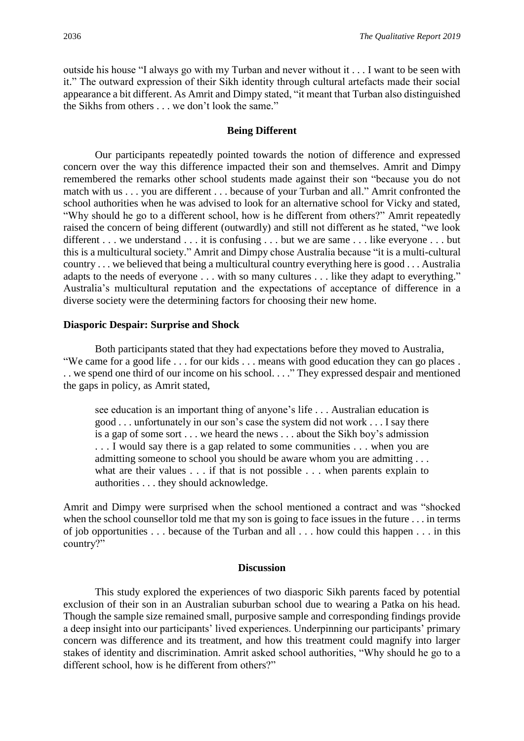outside his house "I always go with my Turban and never without it . . . I want to be seen with it." The outward expression of their Sikh identity through cultural artefacts made their social appearance a bit different. As Amrit and Dimpy stated, "it meant that Turban also distinguished the Sikhs from others . . . we don't look the same."

#### **Being Different**

Our participants repeatedly pointed towards the notion of difference and expressed concern over the way this difference impacted their son and themselves. Amrit and Dimpy remembered the remarks other school students made against their son "because you do not match with us . . . you are different . . . because of your Turban and all." Amrit confronted the school authorities when he was advised to look for an alternative school for Vicky and stated, "Why should he go to a different school, how is he different from others?" Amrit repeatedly raised the concern of being different (outwardly) and still not different as he stated, "we look different . . . we understand . . . it is confusing . . . but we are same . . . like everyone . . . but this is a multicultural society." Amrit and Dimpy chose Australia because "it is a multi-cultural country . . . we believed that being a multicultural country everything here is good . . . Australia adapts to the needs of everyone . . . with so many cultures . . . like they adapt to everything." Australia's multicultural reputation and the expectations of acceptance of difference in a diverse society were the determining factors for choosing their new home.

#### **Diasporic Despair: Surprise and Shock**

Both participants stated that they had expectations before they moved to Australia, "We came for a good life . . . for our kids . . . means with good education they can go places . . . we spend one third of our income on his school. . . ." They expressed despair and mentioned the gaps in policy, as Amrit stated,

see education is an important thing of anyone's life . . . Australian education is good . . . unfortunately in our son's case the system did not work . . . I say there is a gap of some sort . . . we heard the news . . . about the Sikh boy's admission . . . I would say there is a gap related to some communities . . . when you are admitting someone to school you should be aware whom you are admitting . . . what are their values . . . if that is not possible . . . when parents explain to authorities . . . they should acknowledge.

Amrit and Dimpy were surprised when the school mentioned a contract and was "shocked when the school counsellor told me that my son is going to face issues in the future . . . in terms of job opportunities . . . because of the Turban and all . . . how could this happen . . . in this country?"

#### **Discussion**

This study explored the experiences of two diasporic Sikh parents faced by potential exclusion of their son in an Australian suburban school due to wearing a Patka on his head. Though the sample size remained small, purposive sample and corresponding findings provide a deep insight into our participants' lived experiences. Underpinning our participants' primary concern was difference and its treatment, and how this treatment could magnify into larger stakes of identity and discrimination. Amrit asked school authorities, "Why should he go to a different school, how is he different from others?"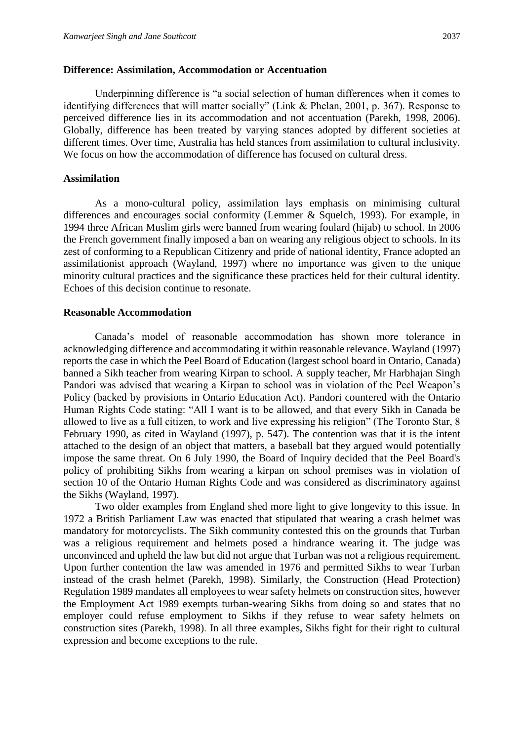#### **Difference: Assimilation, Accommodation or Accentuation**

Underpinning difference is "a social selection of human differences when it comes to identifying differences that will matter socially" (Link & Phelan, 2001, p. 367). Response to perceived difference lies in its accommodation and not accentuation (Parekh, 1998, 2006). Globally, difference has been treated by varying stances adopted by different societies at different times. Over time, Australia has held stances from assimilation to cultural inclusivity. We focus on how the accommodation of difference has focused on cultural dress.

### **Assimilation**

As a mono-cultural policy, assimilation lays emphasis on minimising cultural differences and encourages social conformity (Lemmer & Squelch, 1993). For example, in 1994 three African Muslim girls were banned from wearing foulard (hijab) to school. In 2006 the French government finally imposed a ban on wearing any religious object to schools. In its zest of conforming to a Republican Citizenry and pride of national identity, France adopted an assimilationist approach (Wayland, 1997) where no importance was given to the unique minority cultural practices and the significance these practices held for their cultural identity. Echoes of this decision continue to resonate.

#### **Reasonable Accommodation**

Canada's model of reasonable accommodation has shown more tolerance in acknowledging difference and accommodating it within reasonable relevance. Wayland (1997) reports the case in which the Peel Board of Education (largest school board in Ontario, Canada) banned a Sikh teacher from wearing Kirpan to school. A supply teacher, Mr Harbhajan Singh Pandori was advised that wearing a Kirpan to school was in violation of the Peel Weapon's Policy (backed by provisions in Ontario Education Act). Pandori countered with the Ontario Human Rights Code stating: "All I want is to be allowed, and that every Sikh in Canada be allowed to live as a full citizen, to work and live expressing his religion" (The Toronto Star, 8 February 1990, as cited in Wayland (1997), p. 547). The contention was that it is the intent attached to the design of an object that matters, a baseball bat they argued would potentially impose the same threat. On 6 July 1990, the Board of Inquiry decided that the Peel Board's policy of prohibiting Sikhs from wearing a kirpan on school premises was in violation of section 10 of the Ontario Human Rights Code and was considered as discriminatory against the Sikhs (Wayland, 1997).

Two older examples from England shed more light to give longevity to this issue. In 1972 a British Parliament Law was enacted that stipulated that wearing a crash helmet was mandatory for motorcyclists. The Sikh community contested this on the grounds that Turban was a religious requirement and helmets posed a hindrance wearing it. The judge was unconvinced and upheld the law but did not argue that Turban was not a religious requirement. Upon further contention the law was amended in 1976 and permitted Sikhs to wear Turban instead of the crash helmet (Parekh, 1998). Similarly, the Construction (Head Protection) Regulation 1989 mandates all employees to wear safety helmets on construction sites, however the Employment Act 1989 exempts turban-wearing Sikhs from doing so and states that no employer could refuse employment to Sikhs if they refuse to wear safety helmets on construction sites (Parekh, 1998). In all three examples, Sikhs fight for their right to cultural expression and become exceptions to the rule.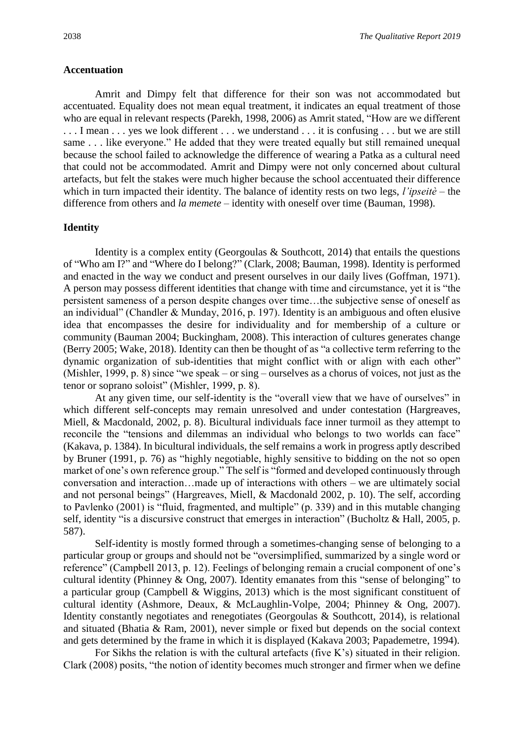#### **Accentuation**

Amrit and Dimpy felt that difference for their son was not accommodated but accentuated. Equality does not mean equal treatment, it indicates an equal treatment of those who are equal in relevant respects (Parekh, 1998, 2006) as Amrit stated, "How are we different ... I mean ... yes we look different ... we understand ... it is confusing ... but we are still same . . . like everyone." He added that they were treated equally but still remained unequal because the school failed to acknowledge the difference of wearing a Patka as a cultural need that could not be accommodated. Amrit and Dimpy were not only concerned about cultural artefacts, but felt the stakes were much higher because the school accentuated their difference which in turn impacted their identity. The balance of identity rests on two legs, *l'ipseitè* – the difference from others and *la memete* – identity with oneself over time (Bauman, 1998).

#### **Identity**

Identity is a complex entity (Georgoulas  $\&$  Southcott, 2014) that entails the questions of "Who am I?" and "Where do I belong?" (Clark, 2008; Bauman, 1998). Identity is performed and enacted in the way we conduct and present ourselves in our daily lives (Goffman, 1971). A person may possess different identities that change with time and circumstance, yet it is "the persistent sameness of a person despite changes over time…the subjective sense of oneself as an individual" (Chandler & Munday, 2016, p. 197). Identity is an ambiguous and often elusive idea that encompasses the desire for individuality and for membership of a culture or community (Bauman 2004; Buckingham, 2008). This interaction of cultures generates change (Berry 2005; Wake, 2018). Identity can then be thought of as "a collective term referring to the dynamic organization of sub-identities that might conflict with or align with each other" (Mishler, 1999, p. 8) since "we speak – or sing – ourselves as a chorus of voices, not just as the tenor or soprano soloist" (Mishler, 1999, p. 8).

At any given time, our self-identity is the "overall view that we have of ourselves" in which different self-concepts may remain unresolved and under contestation (Hargreaves, Miell, & Macdonald, 2002, p. 8). Bicultural individuals face inner turmoil as they attempt to reconcile the "tensions and dilemmas an individual who belongs to two worlds can face" (Kakava, p. 1384). In bicultural individuals, the self remains a work in progress aptly described by Bruner (1991, p. 76) as "highly negotiable, highly sensitive to bidding on the not so open market of one's own reference group." The self is "formed and developed continuously through conversation and interaction…made up of interactions with others – we are ultimately social and not personal beings" (Hargreaves, Miell, & Macdonald 2002, p. 10). The self, according to Pavlenko (2001) is "fluid, fragmented, and multiple" (p. 339) and in this mutable changing self, identity "is a discursive construct that emerges in interaction" (Bucholtz & Hall, 2005, p. 587).

Self-identity is mostly formed through a sometimes-changing sense of belonging to a particular group or groups and should not be "oversimplified, summarized by a single word or reference" (Campbell 2013, p. 12). Feelings of belonging remain a crucial component of one's cultural identity (Phinney & Ong, 2007). Identity emanates from this "sense of belonging" to a particular group (Campbell & Wiggins, 2013) which is the most significant constituent of cultural identity (Ashmore, Deaux, & McLaughlin-Volpe, 2004; Phinney & Ong, 2007). Identity constantly negotiates and renegotiates (Georgoulas & Southcott, 2014), is relational and situated (Bhatia & Ram, 2001), never simple or fixed but depends on the social context and gets determined by the frame in which it is displayed (Kakava 2003; Papademetre, 1994).

For Sikhs the relation is with the cultural artefacts (five K's) situated in their religion. Clark (2008) posits, "the notion of identity becomes much stronger and firmer when we define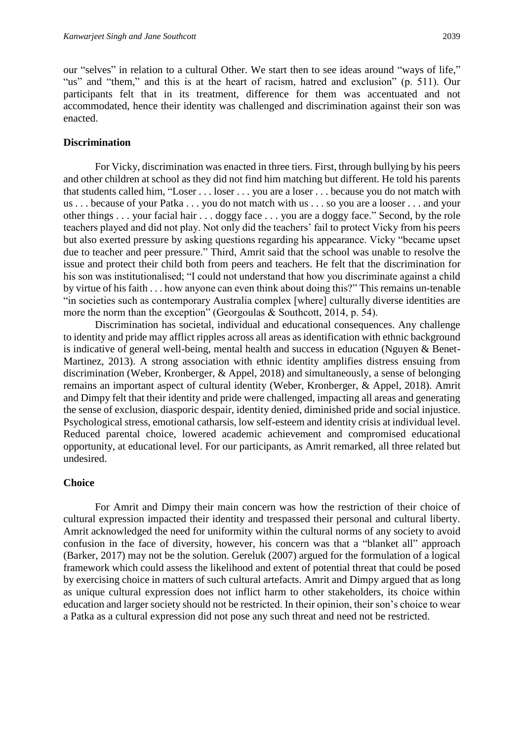our "selves" in relation to a cultural Other. We start then to see ideas around "ways of life," "us" and "them," and this is at the heart of racism, hatred and exclusion" (p. 511). Our participants felt that in its treatment, difference for them was accentuated and not accommodated, hence their identity was challenged and discrimination against their son was enacted.

#### **Discrimination**

For Vicky, discrimination was enacted in three tiers. First, through bullying by his peers and other children at school as they did not find him matching but different. He told his parents that students called him, "Loser . . . loser . . . you are a loser . . . because you do not match with us . . . because of your Patka . . . you do not match with us . . . so you are a looser . . . and your other things . . . your facial hair . . . doggy face . . . you are a doggy face." Second, by the role teachers played and did not play. Not only did the teachers' fail to protect Vicky from his peers but also exerted pressure by asking questions regarding his appearance. Vicky "became upset due to teacher and peer pressure." Third, Amrit said that the school was unable to resolve the issue and protect their child both from peers and teachers. He felt that the discrimination for his son was institutionalised; "I could not understand that how you discriminate against a child by virtue of his faith . . . how anyone can even think about doing this?" This remains un-tenable "in societies such as contemporary Australia complex [where] culturally diverse identities are more the norm than the exception" (Georgoulas & Southcott, 2014, p. 54).

Discrimination has societal, individual and educational consequences. Any challenge to identity and pride may afflict ripples across all areas as identification with ethnic background is indicative of general well-being, mental health and success in education (Nguyen & Benet-Martinez, 2013). A strong association with ethnic identity amplifies distress ensuing from discrimination (Weber, Kronberger, & Appel, 2018) and simultaneously, a sense of belonging remains an important aspect of cultural identity (Weber, Kronberger, & Appel, 2018). Amrit and Dimpy felt that their identity and pride were challenged, impacting all areas and generating the sense of exclusion, diasporic despair, identity denied, diminished pride and social injustice. Psychological stress, emotional catharsis, low self-esteem and identity crisis at individual level. Reduced parental choice, lowered academic achievement and compromised educational opportunity, at educational level. For our participants, as Amrit remarked, all three related but undesired.

#### **Choice**

For Amrit and Dimpy their main concern was how the restriction of their choice of cultural expression impacted their identity and trespassed their personal and cultural liberty. Amrit acknowledged the need for uniformity within the cultural norms of any society to avoid confusion in the face of diversity, however, his concern was that a "blanket all" approach (Barker, 2017) may not be the solution. Gereluk (2007) argued for the formulation of a logical framework which could assess the likelihood and extent of potential threat that could be posed by exercising choice in matters of such cultural artefacts. Amrit and Dimpy argued that as long as unique cultural expression does not inflict harm to other stakeholders, its choice within education and larger society should not be restricted. In their opinion, their son's choice to wear a Patka as a cultural expression did not pose any such threat and need not be restricted.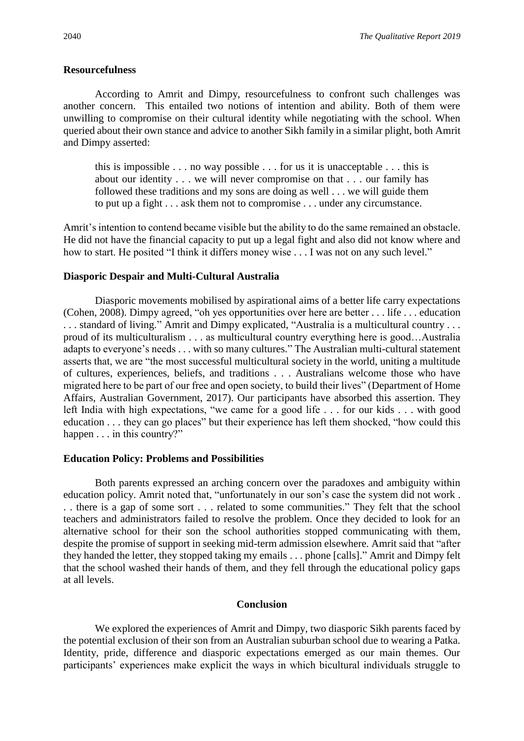#### **Resourcefulness**

According to Amrit and Dimpy, resourcefulness to confront such challenges was another concern. This entailed two notions of intention and ability. Both of them were unwilling to compromise on their cultural identity while negotiating with the school. When queried about their own stance and advice to another Sikh family in a similar plight, both Amrit and Dimpy asserted:

this is impossible . . . no way possible . . . for us it is unacceptable . . . this is about our identity . . . we will never compromise on that . . . our family has followed these traditions and my sons are doing as well . . . we will guide them to put up a fight . . . ask them not to compromise . . . under any circumstance.

Amrit's intention to contend became visible but the ability to do the same remained an obstacle. He did not have the financial capacity to put up a legal fight and also did not know where and how to start. He posited "I think it differs money wise . . . I was not on any such level."

#### **Diasporic Despair and Multi-Cultural Australia**

Diasporic movements mobilised by aspirational aims of a better life carry expectations (Cohen, 2008). Dimpy agreed, "oh yes opportunities over here are better . . . life . . . education . . . standard of living." Amrit and Dimpy explicated, "Australia is a multicultural country . . . proud of its multiculturalism . . . as multicultural country everything here is good…Australia adapts to everyone's needs . . . with so many cultures." The Australian multi-cultural statement asserts that, we are "the most successful multicultural society in the world, uniting a multitude of cultures, experiences, beliefs, and traditions . . . Australians welcome those who have migrated here to be part of our free and open society, to build their lives" (Department of Home Affairs, Australian Government, 2017). Our participants have absorbed this assertion. They left India with high expectations, "we came for a good life . . . for our kids . . . with good education . . . they can go places" but their experience has left them shocked, "how could this happen . . . in this country?"

#### **Education Policy: Problems and Possibilities**

Both parents expressed an arching concern over the paradoxes and ambiguity within education policy. Amrit noted that, "unfortunately in our son's case the system did not work . . . there is a gap of some sort . . . related to some communities." They felt that the school teachers and administrators failed to resolve the problem. Once they decided to look for an alternative school for their son the school authorities stopped communicating with them, despite the promise of support in seeking mid-term admission elsewhere. Amrit said that "after they handed the letter, they stopped taking my emails . . . phone [calls]." Amrit and Dimpy felt that the school washed their hands of them, and they fell through the educational policy gaps at all levels.

### **Conclusion**

We explored the experiences of Amrit and Dimpy, two diasporic Sikh parents faced by the potential exclusion of their son from an Australian suburban school due to wearing a Patka*.*  Identity, pride, difference and diasporic expectations emerged as our main themes. Our participants' experiences make explicit the ways in which bicultural individuals struggle to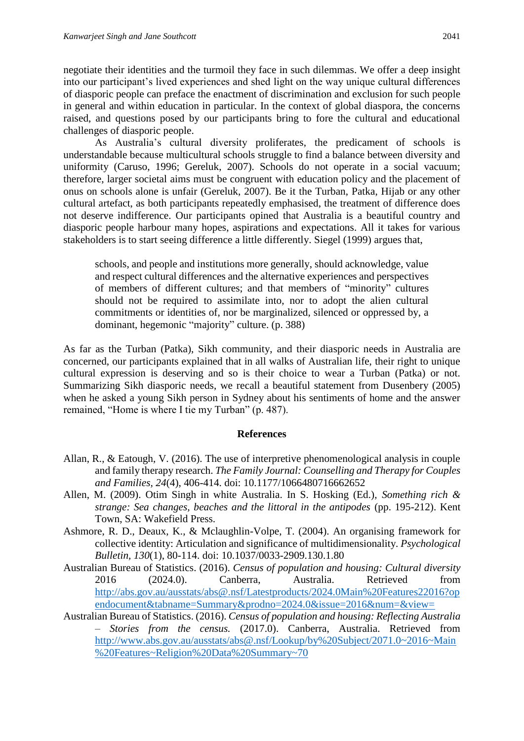negotiate their identities and the turmoil they face in such dilemmas. We offer a deep insight into our participant's lived experiences and shed light on the way unique cultural differences of diasporic people can preface the enactment of discrimination and exclusion for such people in general and within education in particular. In the context of global diaspora, the concerns raised, and questions posed by our participants bring to fore the cultural and educational challenges of diasporic people.

As Australia's cultural diversity proliferates, the predicament of schools is understandable because multicultural schools struggle to find a balance between diversity and uniformity (Caruso, 1996; Gereluk, 2007). Schools do not operate in a social vacuum; therefore, larger societal aims must be congruent with education policy and the placement of onus on schools alone is unfair (Gereluk, 2007). Be it the Turban, Patka, Hijab or any other cultural artefact, as both participants repeatedly emphasised, the treatment of difference does not deserve indifference. Our participants opined that Australia is a beautiful country and diasporic people harbour many hopes, aspirations and expectations. All it takes for various stakeholders is to start seeing difference a little differently. Siegel (1999) argues that,

schools, and people and institutions more generally, should acknowledge, value and respect cultural differences and the alternative experiences and perspectives of members of different cultures; and that members of "minority" cultures should not be required to assimilate into, nor to adopt the alien cultural commitments or identities of, nor be marginalized, silenced or oppressed by, a dominant, hegemonic "majority" culture. (p. 388)

As far as the Turban (Patka), Sikh community, and their diasporic needs in Australia are concerned, our participants explained that in all walks of Australian life, their right to unique cultural expression is deserving and so is their choice to wear a Turban (Patka) or not. Summarizing Sikh diasporic needs, we recall a beautiful statement from Dusenbery (2005) when he asked a young Sikh person in Sydney about his sentiments of home and the answer remained, "Home is where I tie my Turban" (p. 487).

## **References**

- Allan, R., & Eatough, V. (2016). The use of interpretive phenomenological analysis in couple and family therapy research. *The Family Journal: Counselling and Therapy for Couples and Families, 24*(4), 406-414. doi: 10.1177/1066480716662652
- Allen, M. (2009). Otim Singh in white Australia. In S. Hosking (Ed.), *Something rich & strange: Sea changes, beaches and the littoral in the antipodes* (pp. 195-212). Kent Town, SA: Wakefield Press.
- Ashmore, R. D., Deaux, K., & Mclaughlin-Volpe, T. (2004). An organising framework for collective identity: Articulation and significance of multidimensionality. *Psychological Bulletin, 130*(1), 80-114. doi: 10.1037/0033-2909.130.1.80
- Australian Bureau of Statistics. (2016). *Census of population and housing: Cultural diversity*  2016 (2024.0). Canberra, Australia. Retrieved from [http://abs.gov.au/ausstats/abs@.nsf/Latestproducts/2024.0Main%20Features22016?op](http://abs.gov.au/ausstats/abs@.nsf/Latestproducts/2024.0Main%20Features22016?opendocument&tabname=Summary&prodno=2024.0&issue=2016&num=&view=) [endocument&tabname=Summary&prodno=2024.0&issue=2016&num=&view=](http://abs.gov.au/ausstats/abs@.nsf/Latestproducts/2024.0Main%20Features22016?opendocument&tabname=Summary&prodno=2024.0&issue=2016&num=&view=)
- Australian Bureau of Statistics. (2016). *Census of population and housing: Reflecting Australia – Stories from the census.* (2017.0). Canberra, Australia. Retrieved from [http://www.abs.gov.au/ausstats/abs@.nsf/Lookup/by%20Subject/2071.0~2016~Main](http://www.abs.gov.au/ausstats/abs@.nsf/Lookup/by%20Subject/2071.0~2016~Main%20Features~Religion%20Data%20Summary~70) [%20Features~Religion%20Data%20Summary~70](http://www.abs.gov.au/ausstats/abs@.nsf/Lookup/by%20Subject/2071.0~2016~Main%20Features~Religion%20Data%20Summary~70)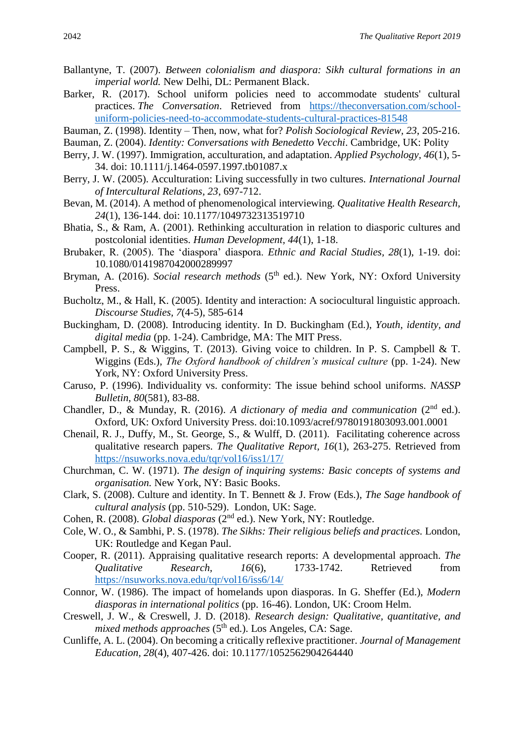- Ballantyne, T. (2007). *Between colonialism and diaspora: Sikh cultural formations in an imperial world.* New Delhi, DL: Permanent Black.
- Barker, R. (2017). School uniform policies need to accommodate students' cultural practices. *The Conversation*. Retrieved from [https://theconversation.com/school](https://theconversation.com/school-uniform-policies-need-to-accommodate-students-cultural-practices-81548)[uniform-policies-need-to-accommodate-students-cultural-practices-81548](https://theconversation.com/school-uniform-policies-need-to-accommodate-students-cultural-practices-81548)
- Bauman, Z. (1998). Identity Then, now, what for? *Polish Sociological Review, 23*, 205-216.
- Bauman, Z. (2004). *Identity: Conversations with Benedetto Vecchi*. Cambridge, UK: Polity
- Berry, J. W. (1997). Immigration, acculturation, and adaptation. *Applied Psychology, 46*(1), 5- 34. doi: 10.1111/j.1464-0597.1997.tb01087.x
- Berry, J. W. (2005). Acculturation: Living successfully in two cultures. *International Journal of Intercultural Relations, 23*, 697-712.
- Bevan, M. (2014). A method of phenomenological interviewing. *Qualitative Health Research, 24*(1), 136-144. doi: 10.1177/1049732313519710
- Bhatia, S., & Ram, A. (2001). Rethinking acculturation in relation to diasporic cultures and postcolonial identities. *Human Development, 44*(1), 1-18.
- Brubaker, R. (2005). The 'diaspora' diaspora. *Ethnic and Racial Studies, 28*(1), 1-19. doi: 10.1080/0141987042000289997
- Bryman, A. (2016). *Social research methods* (5<sup>th</sup> ed.). New York, NY: Oxford University Press.
- Bucholtz, M., & Hall, K. (2005). Identity and interaction: A sociocultural linguistic approach. *Discourse Studies, 7*(4-5), 585-614
- Buckingham, D. (2008). Introducing identity. In D. Buckingham (Ed.), *Youth, identity, and digital media* (pp. 1-24). Cambridge, MA: The MIT Press.
- Campbell, P. S., & Wiggins, T. (2013). Giving voice to children. In P. S. Campbell & T. Wiggins (Eds.), *The Oxford handbook of children's musical culture* (pp. 1-24). New York, NY: Oxford University Press.
- Caruso, P. (1996). Individuality vs. conformity: The issue behind school uniforms. *NASSP Bulletin*, *80*(581), 83-88.
- Chandler, D., & Munday, R. (2016). *A dictionary of media and communication* (2nd ed.). Oxford, UK: Oxford University Press. doi:10.1093/acref/9780191803093.001.0001
- Chenail, R. J., Duffy, M., St. George, S., & Wulff, D. (2011). Facilitating coherence across qualitative research papers. *The Qualitative Report, 16*(1), 263-275. Retrieved from <https://nsuworks.nova.edu/tqr/vol16/iss1/17/>
- Churchman, C. W. (1971). *The design of inquiring systems: Basic concepts of systems and organisation.* New York, NY: Basic Books.
- Clark, S. (2008). Culture and identity. In T. Bennett & J. Frow (Eds.), *The Sage handbook of cultural analysis* (pp. 510-529). London, UK: Sage.
- Cohen, R. (2008). *Global diasporas* (2nd ed.). New York, NY: Routledge.
- Cole, W. O., & Sambhi, P. S. (1978). *The Sikhs: Their religious beliefs and practices.* London, UK: Routledge and Kegan Paul.
- Cooper, R. (2011). Appraising qualitative research reports: A developmental approach. *The Qualitative Research, 16*(6), 1733-1742. Retrieved from <https://nsuworks.nova.edu/tqr/vol16/iss6/14/>
- Connor, W. (1986). The impact of homelands upon diasporas. In G. Sheffer (Ed.), *Modern diasporas in international politics* (pp. 16-46). London, UK: Croom Helm.
- Creswell, J. W., & Creswell, J. D. (2018). *Research design: Qualitative, quantitative, and mixed methods approaches* ( $5<sup>th</sup>$  ed.). Los Angeles, CA: Sage.
- Cunliffe, A. L. (2004). On becoming a critically reflexive practitioner. *Journal of Management Education, 28*(4), 407-426. doi: 10.1177/1052562904264440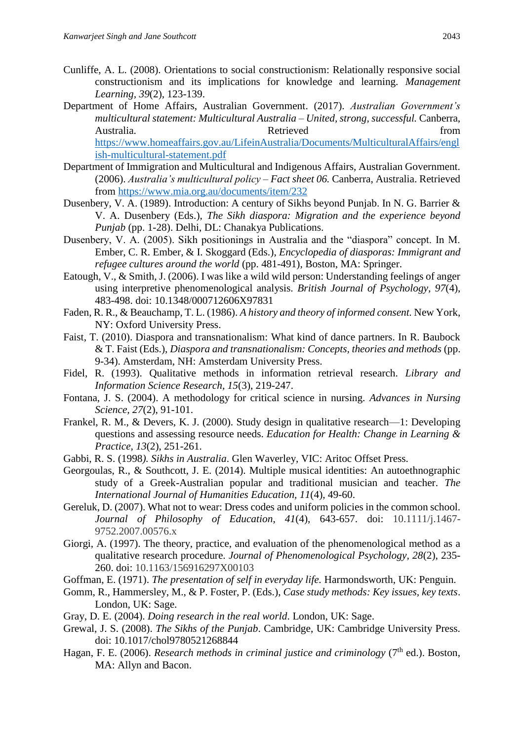- Cunliffe, A. L. (2008). Orientations to social constructionism: Relationally responsive social constructionism and its implications for knowledge and learning. *Management Learning, 39*(2), 123-139.
- Department of Home Affairs, Australian Government. (2017). *Australian Government's multicultural statement: Multicultural Australia – United, strong, successful.* Canberra, Australia. Retrieved from [https://www.homeaffairs.gov.au/LifeinAustralia/Documents/MulticulturalAffairs/engl](https://www.homeaffairs.gov.au/LifeinAustralia/Documents/MulticulturalAffairs/english-multicultural-statement.pdf) [ish-multicultural-statement.pdf](https://www.homeaffairs.gov.au/LifeinAustralia/Documents/MulticulturalAffairs/english-multicultural-statement.pdf)
- Department of Immigration and Multicultural and Indigenous Affairs, Australian Government. (2006). *Australia's multicultural policy – Fact sheet 06.* Canberra, Australia. Retrieved from<https://www.mia.org.au/documents/item/232>
- Dusenbery, V. A. (1989). Introduction: A century of Sikhs beyond Punjab. In N. G. Barrier & V. A. Dusenbery (Eds.), *The Sikh diaspora: Migration and the experience beyond Punjab* (pp. 1-28). Delhi, DL: Chanakya Publications.
- Dusenbery, V. A. (2005). Sikh positionings in Australia and the "diaspora" concept. In M. Ember, C. R. Ember, & I. Skoggard (Eds.), *Encyclopedia of diasporas: Immigrant and refugee cultures around the world* (pp. 481-491), Boston, MA: Springer.
- Eatough, V., & Smith, J. (2006). I was like a wild wild person: Understanding feelings of anger using interpretive phenomenological analysis. *British Journal of Psychology, 97*(4), 483-498. doi: 10.1348/000712606X97831
- Faden, R. R., & Beauchamp, T. L. (1986). *A history and theory of informed consent.* New York, NY: Oxford University Press.
- Faist, T. (2010). Diaspora and transnationalism: What kind of dance partners. In R. Baubock & T. Faist (Eds.), *Diaspora and transnationalism: Concepts, theories and methods* (pp. 9-34). Amsterdam, NH: Amsterdam University Press.
- Fidel, R. (1993). Qualitative methods in information retrieval research. *Library and Information Science Research, 15*(3), 219-247.
- Fontana, J. S. (2004). A methodology for critical science in nursing. *Advances in Nursing Science, 27*(2), 91-101.
- Frankel, R. M., & Devers, K. J. (2000). Study design in qualitative research—1: Developing questions and assessing resource needs. *Education for Health: Change in Learning & Practice, 13*(2), 251-261.
- Gabbi, R. S. (1998*). Sikhs in Australia*. Glen Waverley, VIC: Aritoc Offset Press.
- Georgoulas, R., & Southcott, J. E. (2014). Multiple musical identities: An autoethnographic study of a Greek-Australian popular and traditional musician and teacher. *The International Journal of Humanities Education, 11*(4), 49-60.
- Gereluk, D. (2007). What not to wear: Dress codes and uniform policies in the common school. *Journal of Philosophy of Education*, *41*(4), 643-657. doi: 10.1111/j.1467- 9752.2007.00576.x
- Giorgi, A. (1997). The theory, practice, and evaluation of the phenomenological method as a qualitative research procedure. *Journal of Phenomenological Psychology, 28*(2), 235- 260. doi: 10.1163/156916297X00103
- Goffman, E. (1971). *The presentation of self in everyday life.* Harmondsworth, UK: Penguin.
- Gomm, R., Hammersley, M., & P. Foster, P. (Eds.), *Case study methods: Key issues, key texts*. London, UK: Sage.
- Gray, D. E. (2004). *Doing research in the real world*. London, UK: Sage.
- Grewal, J. S. (2008). *The Sikhs of the Punjab*. Cambridge, UK: Cambridge University Press. doi: 10.1017/chol9780521268844
- Hagan, F. E. (2006). *Research methods in criminal justice and criminology* (7<sup>th</sup> ed.). Boston, MA: Allyn and Bacon.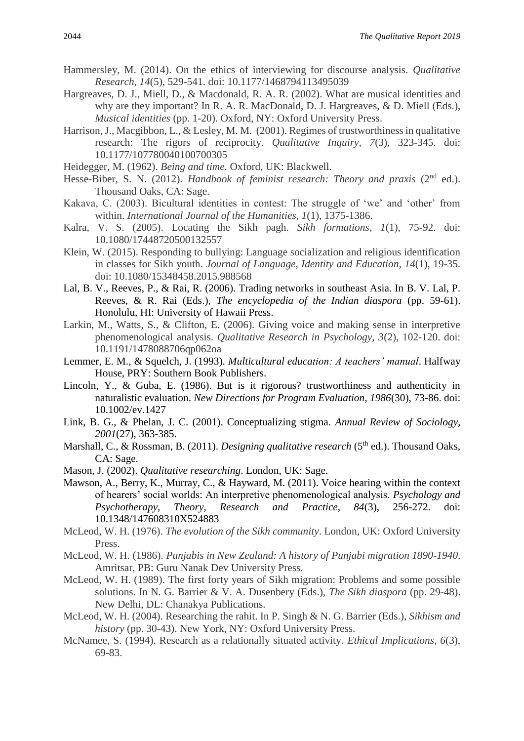- Hammersley, M. (2014). On the ethics of interviewing for discourse analysis. *Qualitative Research, 14*(5), 529-541. doi: 10.1177/1468794113495039
- Hargreaves, D. J., Miell, D., & Macdonald, R. A. R. (2002). What are musical identities and why are they important? In R. A. R. MacDonald, D. J. Hargreaves, & D. Miell (Eds.), *Musical identities* (pp. 1-20). Oxford, NY: Oxford University Press.
- Harrison, J., Macgibbon, L., & Lesley, M. M. (2001). Regimes of trustworthiness in qualitative research: The rigors of reciprocity. *Qualitative Inquiry, 7*(3), 323-345. doi: 10.1177/107780040100700305
- Heidegger, M. (1962). *Being and time.* Oxford, UK: Blackwell.
- Hesse-Biber, S. N. (2012). *Handbook of feminist research: Theory and praxis* (2<sup>nd</sup> ed.). Thousand Oaks, CA: Sage.
- Kakava, C. (2003). Bicultural identities in contest: The struggle of 'we' and 'other' from within. *International Journal of the Humanities, 1*(1), 1375-1386.
- Kalra, V. S. (2005). Locating the Sikh pagh. *Sikh formations*, *1*(1), 75-92. doi: 10.1080/17448720500132557
- Klein, W. (2015). Responding to bullying: Language socialization and religious identification in classes for Sikh youth. *Journal of Language, Identity and Education*, *14*(1), 19-35. doi: 10.1080/15348458.2015.988568
- Lal, B. V., Reeves, P., & Rai, R. (2006). Trading networks in southeast Asia. In B. V. Lal, P. Reeves, & R. Rai (Eds.), *The encyclopedia of the Indian diaspora* (pp. 59-61). Honolulu, HI: University of Hawaii Press.
- Larkin, M., Watts, S., & Clifton, E. (2006). Giving voice and making sense in interpretive phenomenological analysis. *Qualitative Research in Psychology, 3*(2), 102-120. doi: 10.1191/1478088706qp062oa
- Lemmer, E. M., & Squelch, J. (1993). *Multicultural education: A teachers' manual*. Halfway House, PRY: Southern Book Publishers.
- Lincoln, Y., & Guba, E. (1986). But is it rigorous? trustworthiness and authenticity in naturalistic evaluation. *New Directions for Program Evaluation, 1986*(30), 73-86. doi: 10.1002/ev.1427
- Link, B. G., & Phelan, J. C. (2001). Conceptualizing stigma. *Annual Review of Sociology, 2001*(27), 363-385.
- Marshall, C., & Rossman, B. (2011). *Designing qualitative research* (5<sup>th</sup> ed.). Thousand Oaks, CA: Sage.
- Mason, J. (2002). *Qualitative researching*. London, UK: Sage.
- Mawson, A., Berry, K., Murray, C., & Hayward, M. (2011). Voice hearing within the context of hearers' social worlds: An interpretive phenomenological analysis. *Psychology and Psychotherapy, Theory, Research and Practice, 84*(3), 256-272. doi: 10.1348/147608310X524883
- McLeod, W. H. (1976). *The evolution of the Sikh community*. London, UK: Oxford University Press.
- McLeod, W. H. (1986). *Punjabis in New Zealand: A history of Punjabi migration 1890-1940*. Amritsar, PB: Guru Nanak Dev University Press.
- McLeod, W. H. (1989). The first forty years of Sikh migration: Problems and some possible solutions. In N. G. Barrier & V. A. Dusenbery (Eds.), *The Sikh diaspora* (pp. 29-48). New Delhi, DL: Chanakya Publications.
- McLeod, W. H. (2004). Researching the rahit. In P. Singh & N. G. Barrier (Eds.), *Sikhism and history* (pp. 30-43). New York, NY: Oxford University Press.
- McNamee, S. (1994). Research as a relationally situated activity. *Ethical Implications, 6*(3), 69-83.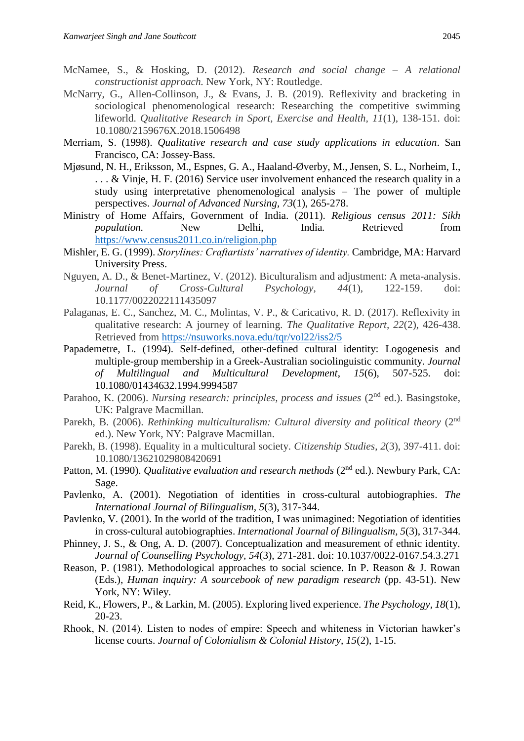- McNamee, S., & Hosking, D. (2012). *Research and social change – A relational constructionist approach.* New York, NY: Routledge.
- McNarry, G., Allen-Collinson, J., & Evans, J. B. (2019). Reflexivity and bracketing in sociological phenomenological research: Researching the competitive swimming lifeworld. *Qualitative Research in Sport, Exercise and Health, 11*(1), 138-151. doi: 10.1080/2159676X.2018.1506498
- Merriam, S. (1998). *Qualitative research and case study applications in education*. San Francisco, CA: Jossey-Bass.
- Mjøsund, N. H., Eriksson, M., Espnes, G. A., Haaland-Øverby, M., Jensen, S. L., Norheim, I., ... & Vinje, H. F. (2016) Service user involvement enhanced the research quality in a study using interpretative phenomenological analysis – The power of multiple perspectives. *Journal of Advanced Nursing, 73*(1), 265-278.
- Ministry of Home Affairs, Government of India. (2011). *Religious census 2011: Sikh population.* New Delhi, India*.* Retrieved from <https://www.census2011.co.in/religion.php>
- Mishler, E. G. (1999). *Storylines: Craftartists' narratives of identity.* Cambridge, MA: Harvard University Press.
- Nguyen, A. D., & Benet-Martinez, V. (2012). Biculturalism and adjustment: A meta-analysis. *Journal of Cross-Cultural Psychology, 44*(1), 122-159. doi: 10.1177/0022022111435097
- Palaganas, E. C., Sanchez, M. C., Molintas, V. P., & Caricativo, R. D. (2017). Reflexivity in qualitative research: A journey of learning. *The Qualitative Report, 22*(2), 426-438. Retrieved from<https://nsuworks.nova.edu/tqr/vol22/iss2/5>
- Papademetre, L. (1994). Self-defined, other-defined cultural identity: Logogenesis and multiple-group membership in a Greek-Australian sociolinguistic community. *Journal of Multilingual and Multicultural Development*, *15*(6), 507-525. doi: 10.1080/01434632.1994.9994587
- Parahoo, K. (2006). *Nursing research: principles, process and issues* (2<sup>nd</sup> ed.). Basingstoke, UK: Palgrave Macmillan.
- Parekh, B. (2006). *Rethinking multiculturalism: Cultural diversity and political theory* (2<sup>nd</sup>) ed.). New York, NY: Palgrave Macmillan.
- Parekh, B. (1998). Equality in a multicultural society. *Citizenship Studies*, *2*(3), 397-411. doi: 10.1080/13621029808420691
- Patton, M. (1990). *Qualitative evaluation and research methods* (2<sup>nd</sup> ed.). Newbury Park, CA: Sage.
- Pavlenko, A. (2001). Negotiation of identities in cross-cultural autobiographies. *The International Journal of Bilingualism, 5*(3), 317-344.
- Pavlenko, V. (2001). In the world of the tradition, I was unimagined: Negotiation of identities in cross-cultural autobiographies. *International Journal of Bilingualism, 5*(3), 317-344.
- Phinney, J. S., & Ong, A. D. (2007). Conceptualization and measurement of ethnic identity. *Journal of Counselling Psychology, 54*(3), 271-281. doi: 10.1037/0022-0167.54.3.271
- Reason, P. (1981). Methodological approaches to social science. In P. Reason & J. Rowan (Eds.), *Human inquiry: A sourcebook of new paradigm research* (pp. 43-51). New York, NY: Wiley.
- Reid, K., Flowers, P., & Larkin, M. (2005). Exploring lived experience. *The Psychology, 18*(1), 20-23.
- Rhook, N. (2014). Listen to nodes of empire: Speech and whiteness in Victorian hawker's license courts. *Journal of Colonialism & Colonial History, 15*(2), 1-15.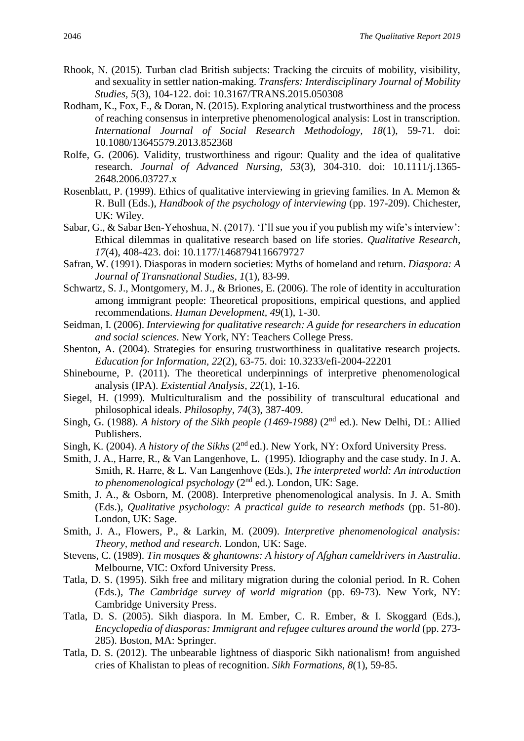- Rhook, N. (2015). Turban clad British subjects: Tracking the circuits of mobility, visibility, and sexuality in settler nation-making. *Transfers: Interdisciplinary Journal of Mobility Studies, 5*(3), 104-122. doi: 10.3167/TRANS.2015.050308
- Rodham, K., Fox, F., & Doran, N. (2015). Exploring analytical trustworthiness and the process of reaching consensus in interpretive phenomenological analysis: Lost in transcription. *International Journal of Social Research Methodology, 18*(1), 59-71. doi: 10.1080/13645579.2013.852368
- Rolfe, G. (2006). Validity, trustworthiness and rigour: Quality and the idea of qualitative research. *Journal of Advanced Nursing, 53*(3), 304-310. doi: 10.1111/j.1365- 2648.2006.03727.x
- Rosenblatt, P. (1999). Ethics of qualitative interviewing in grieving families. In A. Memon & R. Bull (Eds.), *Handbook of the psychology of interviewing* (pp. 197-209). Chichester, UK: Wiley.
- Sabar, G., & Sabar Ben-Yehoshua, N. (2017). 'I'll sue you if you publish my wife's interview': Ethical dilemmas in qualitative research based on life stories. *Qualitative Research, 17*(4), 408-423. doi: 10.1177/1468794116679727
- Safran, W. (1991). Diasporas in modern societies: Myths of homeland and return. *Diaspora: A Journal of Transnational Studies, 1*(1), 83-99.
- Schwartz, S. J., Montgomery, M. J., & Briones, E. (2006). The role of identity in acculturation among immigrant people: Theoretical propositions, empirical questions, and applied recommendations. *Human Development, 49*(1), 1-30.
- Seidman, I. (2006). *Interviewing for qualitative research: A guide for researchers in education and social sciences*. New York, NY: Teachers College Press.
- Shenton, A. (2004). Strategies for ensuring trustworthiness in qualitative research projects. *Education for Information, 22*(2), 63-75. doi: 10.3233/efi-2004-22201
- Shinebourne, P. (2011). The theoretical underpinnings of interpretive phenomenological analysis (IPA). *Existential Analysis, 22*(1), 1-16.
- Siegel, H. (1999). Multiculturalism and the possibility of transcultural educational and philosophical ideals. *Philosophy*, *74*(3), 387-409.
- Singh, G. (1988). *A history of the Sikh people (1469-1988)* (2<sup>nd</sup> ed.). New Delhi, DL: Allied Publishers.
- Singh, K. (2004). *A history of the Sikhs* (2<sup>nd</sup> ed.). New York, NY: Oxford University Press.
- Smith, J. A., Harre, R., & Van Langenhove, L. (1995). Idiography and the case study. In J. A. Smith, R. Harre, & L. Van Langenhove (Eds.), *The interpreted world: An introduction to phenomenological psychology* (2<sup>nd</sup> ed.). London, UK: Sage.
- Smith, J. A., & Osborn, M. (2008). Interpretive phenomenological analysis. In J. A. Smith (Eds.), *Qualitative psychology: A practical guide to research methods* (pp. 51-80). London, UK: Sage.
- Smith, J. A., Flowers, P., & Larkin, M. (2009). *Interpretive phenomenological analysis: Theory, method and research*. London, UK: Sage.
- Stevens, C. (1989). *Tin mosques & ghantowns: A history of Afghan cameldrivers in Australia*. Melbourne, VIC: Oxford University Press.
- Tatla, D. S. (1995). Sikh free and military migration during the colonial period. In R. Cohen (Eds.), *The Cambridge survey of world migration* (pp. 69-73). New York, NY: Cambridge University Press.
- Tatla, D. S. (2005). Sikh diaspora. In M. Ember, C. R. Ember, & I. Skoggard (Eds.), *Encyclopedia of diasporas: Immigrant and refugee cultures around the world* (pp. 273-285). Boston, MA: Springer.
- Tatla, D. S. (2012). The unbearable lightness of diasporic Sikh nationalism! from anguished cries of Khalistan to pleas of recognition. *Sikh Formations, 8*(1), 59-85.